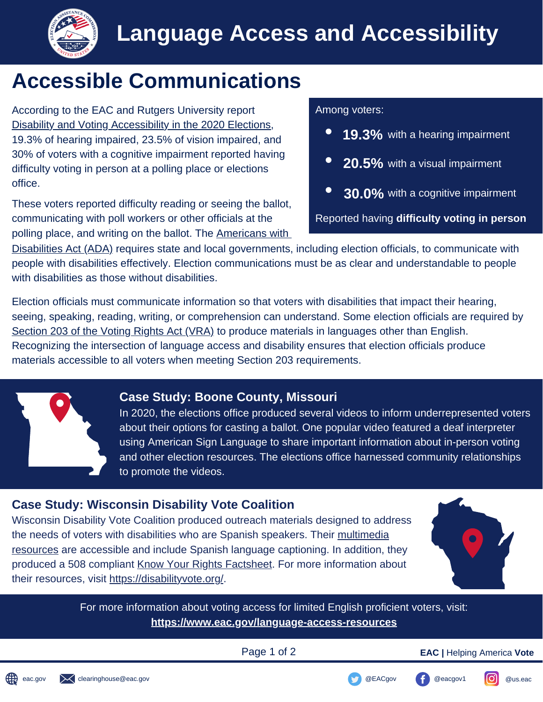

## **Accessible Communications**

According to the EAC and Rutgers University report **Among voters:** [Disability and Voting Accessibility in the 2020 Elections,](https://www.eac.gov/sites/default/files/voters/Disability_and_voting_accessibility_in_the_2020_elections_final_report_on_survey_results.pdf)<br>19.3% of hearing impaired, 23.5% of vision impaired, and<br>**19.3%** with a hearing impairment 30% of voters with a cognitive impairment reported having<br>difficulty voting in person at a polling place or elections<br>**20.5%** with a visual impairment office.

These voters reported difficulty reading or seeing the ballot, communicating with poll workers or other officials at the Reported having **difficulty voting in person** polling place, and writing on the ballot. The Americans with

- 
- 
- **30.0%** with a cognitive impairment

[Disabilities Act \(ADA\)](https://beta.ada.gov/) requires state and local governments, including election officials, to communicate with people with disabilities effectively. Election communications must be as clear and understandable to people with disabilities as those without disabilities.

Election officials must communicate information so that voters with disabilities that impact their hearing, seeing, speaking, reading, writing, or comprehension can understand. Some election officials are required by [Section 203 of the Voting Rights Act \(VRA\)](https://www.justice.gov/crt/language-minority-citizens) to produce materials in languages other than English. Recognizing the intersection of language access and disability ensures that election officials produce materials accessible to all voters when meeting Section 203 requirements.



#### **Case Study: Boone County, Missouri**

In 2020, the elections office produced several videos to inform underrepresented voters about their options for casting a ballot. One popular video featured a deaf interpreter using American Sign Language to share important information about in-person voting and other election resources. The elections office harnessed community relationships to promote the videos.

### **Case Study: Wisconsin Disability Vote Coalition**

Wisconsin Disability Vote Coalition produced outreach materials designed to address [the needs of voters with disabilities who are Spanish speakers. Their multimedia](https://disabilityvote.org/category/resources/spanish/) resources are accessible and include Spanish language captioning. In addition, they produced a 508 compliant [Know Your Rights Factsheet.](https://disabilityvote.org/wp-content/uploads/2020/10/Voting-Rights-Fact-Sheet-1020-acc.pdf) For more information about their resources, visit [h](https://disabilityvote.org)[ttps://disabilityvote.org/.](https://disabilityvote.org/)



For more information about voting access for limited English proficient voters, visit: **<https://www.eac.gov/language-access-resources>**

Page 1 of 2 **EAC |** Helping America **Vote**